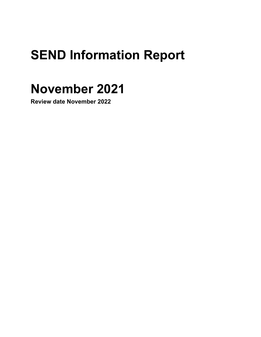# **SEND Information Report**

# **November 2021**

**Review date November 2022**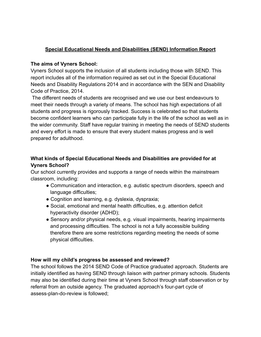#### **Special Educational Needs and Disabilities (SEND) Information Report**

#### **The aims of Vyners School:**

Vyners School supports the inclusion of all students including those with SEND. This report includes all of the information required as set out in the Special Educational Needs and Disability Regulations 2014 and in accordance with the SEN and Disability Code of Practice, 2014.

The different needs of students are recognised and we use our best endeavours to meet their needs through a variety of means. The school has high expectations of all students and progress is rigorously tracked. Success is celebrated so that students become confident learners who can participate fully in the life of the school as well as in the wider community. Staff have regular training in meeting the needs of SEND students and every effort is made to ensure that every student makes progress and is well prepared for adulthood.

## **What kinds of Special Educational Needs and Disabilities are provided for at Vyners School?**

Our school currently provides and supports a range of needs within the mainstream classroom, including:

- Communication and interaction, e.g. autistic spectrum disorders, speech and language difficulties;
- Cognition and learning, e.g. dyslexia, dyspraxia;
- Social, emotional and mental health difficulties, e.g. attention deficit hyperactivity disorder (ADHD);
- Sensory and/or physical needs, e.g. visual impairments, hearing impairments and processing difficulties. The school is not a fully accessible building therefore there are some restrictions regarding meeting the needs of some physical difficulties.

#### **How will my child's progress be assessed and reviewed?**

The school follows the 2014 SEND Code of Practice graduated approach. Students are initially identified as having SEND through liaison with partner primary schools. Students may also be identified during their time at Vyners School through staff observation or by referral from an outside agency. The graduated approach's four-part cycle of assess-plan-do-review is followed;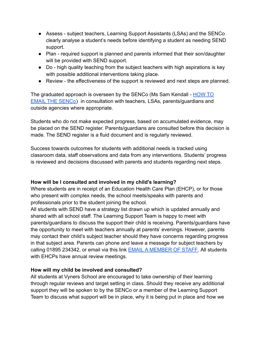- Assess subject teachers, Learning Support Assistants (LSAs) and the SENCo clearly analyse a student's needs before identifying a student as needing SEND support.
- Plan required support is planned and parents informed that their son/daughter will be provided with SEND support.
- Do high quality teaching from the subject teachers with high aspirations is key with possible additional interventions taking place.
- Review the effectiveness of the support is reviewed and next steps are planned.

The graduated approach is overseen by the SENCo (Ms Sam Kendall - [HOW TO](https://www.vynersschool.org.uk/form/?pid=231&form=110) EMAIL [THE SENCo\)](https://www.vynersschool.org.uk/form/?pid=231&form=110) in consultation with teachers, LSAs, parents/guardians and outside agencies where appropriate.

Students who do not make expected progress, based on accumulated evidence, may be placed on the SEND register. Parents/guardians are consulted before this decision is made. The SEND register is a fluid document and is regularly reviewed.

Success towards outcomes for students with additional needs is tracked using classroom data, staff observations and data from any interventions. Students' progress is reviewed and decisions discussed with parents and students regarding next steps.

## **How will be I consulted and involved in my child's learning?**

Where students are in receipt of an Education Health Care Plan (EHCP), or for those who present with complex needs, the school meets/speaks with parents and professionals prior to the student joining the school.

All students with SEND have a strategy list drawn up which is updated annually and shared with all school staff. The Learning Support Team is happy to meet with parents/guardians to discuss the support their child is receiving. Parents/guardians have the opportunity to meet with teachers annually at parents' evenings. However, parents may contact their child's subject teacher should they have concerns regarding progress in that subject area. Parents can phone and leave a message for subject teachers by calling 01895 234342, or email via this link **EMAIL [A MEMBER OF STAFF.](https://www.vynersschool.org.uk/page/?title=Contact+Us&pid=88)** All students with EHCPs have annual review meetings.

## **How will my child be involved and consulted?**

All students at Vyners School are encouraged to take ownership of their learning through regular reviews and target setting in class. Should they receive any additional support they will be spoken to by the SENCo or a member of the Learning Support Team to discuss what support will be in place, why it is being put in place and how we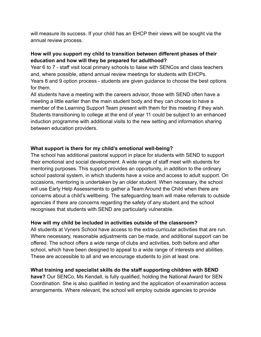will measure its success. If your child has an EHCP their views will be sought via the annual review process.

## **How will you support my child to transition between different phases of their education and how will they be prepared for adulthood?**

Year 6 to 7 - staff visit local primary schools to liaise with SENCos and class teachers and, where possible, attend annual review meetings for students with EHCPs. Years 8 and 9 option process - students are given guidance to choose the best options for them.

All students have a meeting with the careers advisor, those with SEND often have a meeting a little earlier than the main student body and they can choose to have a member of the Learning Support Team present with them for this meeting if they wish. Students transitioning to college at the end of year 11 could be subject to an enhanced induction programme with additional visits to the new setting and information sharing between education providers.

#### **What support is there for my child's emotional well-being?**

The school has additional pastoral support in place for students with SEND to support their emotional and social development. A wide range of staff meet with students for mentoring purposes. This support provides an opportunity, in addition to the ordinary school pastoral system, in which students have a voice and access to adult support. On occasions, mentoring is undertaken by an older student. When necessary, the school will use Early Help Assessments to gather a Team Around the Child when there are concerns about a child's wellbeing. The safeguarding team will make referrals to outside agencies if there are concerns regarding the safety of any student and the school recognises that students with SEND are particularly vulnerable.

## **How will my child be included in activities outside of the classroom?**

All students at Vyners School have access to the extra-curricular activities that are run. Where necessary, reasonable adjustments can be made, and additional support can be offered. The school offers a wide range of clubs and activities, both before and after school, which have been designed to appeal to a wide range of interests and abilities. These are accessible to all and we encourage students to join at least one.

## **What training and specialist skills do the staff supporting children with SEND**

**have?** Our SENCo, Ms Kendall, is fully qualified, holding the National Award for SEN Coordination. She is also qualified in testing and the application of examination access arrangements. Where relevant, the school will employ outside agencies to provide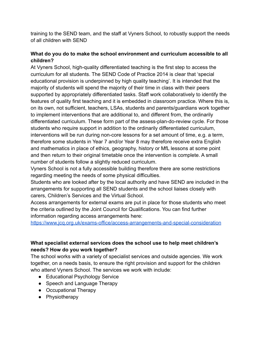training to the SEND team, and the staff at Vyners School, to robustly support the needs of all children with SEND

## **What do you do to make the school environment and curriculum accessible to all children?**

At Vyners School, high-quality differentiated teaching is the first step to access the curriculum for all students. The SEND Code of Practice 2014 is clear that 'special educational provision is underpinned by high quality teaching'. It is intended that the majority of students will spend the majority of their time in class with their peers supported by appropriately differentiated tasks. Staff work collaboratively to identify the features of quality first teaching and it is embedded in classroom practice. Where this is, on its own, not sufficient, teachers, LSAs, students and parents/guardians work together to implement interventions that are additional to, and different from, the ordinarily differentiated curriculum. These form part of the assess-plan-do-review cycle. For those students who require support in addition to the ordinarily differentiated curriculum, interventions will be run during non-core lessons for a set amount of time, e.g. a term, therefore some students in Year 7 and/or Year 8 may therefore receive extra English and mathematics in place of ethics, geography, history or MfL lessons at some point and then return to their original timetable once the intervention is complete. A small number of students follow a slightly reduced curriculum.

Vyners School is not a fully accessible building therefore there are some restrictions regarding meeting the needs of some physical difficulties.

Students who are looked after by the local authority and have SEND are included in the arrangements for supporting all SEND students and the school liaises closely with carers, Children's Services and the Virtual School.

Access arrangements for external exams are put in place for those students who meet the criteria outlined by the Joint Council for Qualifications. You can find further information regarding access arrangements here:

<https://www.jcq.org.uk/exams-office/access-arrangements-and-special-consideration>

## **What specialist external services does the school use to help meet children's needs? How do you work together?**

The school works with a variety of specialist services and outside agencies. We work together, on a needs basis, to ensure the right provision and support for the children who attend Vyners School. The services we work with include:

- Educational Psychology Service
- Speech and Language Therapy
- Occupational Therapy
- Physiotherapy